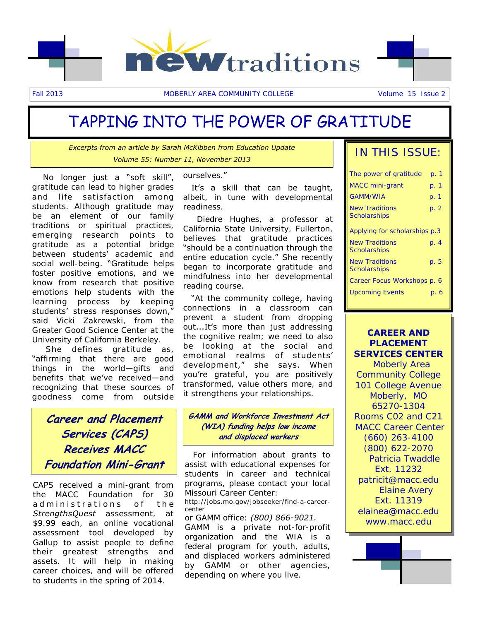

# TAPPING INTO THE POWER OF GRATITUDE

*Excerpts from an article by Sarah McKibben from Education Update Volume 55: Number 11, November 2013* 

 No longer just a "soft skill", gratitude can lead to higher grades and life satisfaction among students. Although gratitude may be an element of our family traditions or spiritual practices, emerging research points to gratitude as a potential bridge between students' academic and social well-being. "Gratitude helps foster positive emotions, and we know from research that positive emotions help students with the learning process by keeping students' stress responses down," said Vicki Zakrewski, from the Greater Good Science Center at the University of California Berkeley.

 She defines gratitude as, "affirming that there are good things in the world—gifts and benefits that we've received—and recognizing that these sources of goodness come from outside

**Career and Placement Services (CAPS) Receives MACC Foundation Mini-Grant** 

CAPS received a mini-grant from the MACC Foundation for 30 ad ministrations of the *StrengthsQuest* assessment, at \$9.99 each, an online vocational assessment tool developed by Gallup to assist people to define their greatest strengths and assets. It will help in making career choices, and will be offered to students in the spring of 2014.

#### ourselves."

 It's a skill that can be taught, albeit, in tune with developmental readiness.

 Diedre Hughes, a professor at California State University, Fullerton, believes that gratitude practices "should be a continuation through the entire education cycle." She recently began to incorporate gratitude and mindfulness into her developmental reading course.

 "At the community college, having connections in a classroom can prevent a student from dropping out...It's more than just addressing the cognitive realm; we need to also be looking at the social and emotional realms of students' development," she says. When you're grateful, you are positively transformed, value others more, and it strengthens your relationships.

#### **GAMM and Workforce Investment Act (WIA) funding helps low income and displaced workers**

 For information about grants to assist with educational expenses for students in career and technical programs, please contact your local Missouri Career Center:

http://jobs.mo.gov/jobseeker/find-a-careercenter

or GAMM office: *(800) 866-9021.* GAMM is a private not-for-profit organization and the WIA is a federal program for youth, adults, and displaced workers administered by GAMM or other agencies, depending on where you live.

## IN THIS ISSUE:

| The power of gratitude                       | p. 1 |
|----------------------------------------------|------|
| <b>MACC</b> mini-grant                       | p. 1 |
| GAMM/WIA                                     | p. 1 |
| <b>New Traditions</b><br><b>Scholarships</b> | p. 2 |
| Applying for scholarships p.3                |      |
| <b>New Traditions</b><br><b>Scholarships</b> | p. 4 |
| <b>New Traditions</b><br>Scholarships        | p. 5 |
| Career Focus Workshops p. 6                  |      |
| <b>Upcoming Events</b>                       | p. 6 |

#### **CAREER AND PLACEMENT SERVICES CENTER**

 Moberly Area Community College 101 College Avenue Moberly, MO 65270-1304 Rooms C02 and C21 MACC Career Center (660) 263-4100 (800) 622-2070 Patricia Twaddle Ext. 11232 patricit@macc.edu Elaine Avery Ext. 11319 elainea@macc.edu www.macc.edu

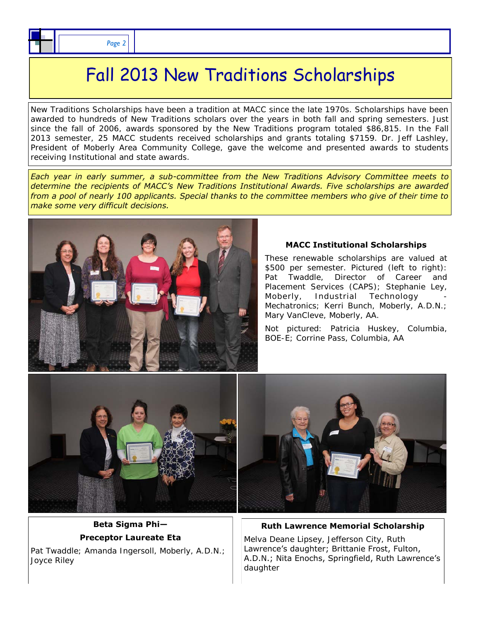# Fall 2013 New Traditions Scholarships

New Traditions Scholarships have been a tradition at MACC since the late 1970s. Scholarships have been awarded to hundreds of New Traditions scholars over the years in both fall and spring semesters. Just since the fall of 2006, awards sponsored by the New Traditions program totaled \$86,815. In the Fall 2013 semester, 25 MACC students received scholarships and grants totaling \$7159. Dr. Jeff Lashley, President of Moberly Area Community College, gave the welcome and presented awards to students receiving Institutional and state awards.

*Each year in early summer, a sub-committee from the New Traditions Advisory Committee meets to determine the recipients of MACC's New Traditions Institutional Awards. Five scholarships are awarded from a pool of nearly 100 applicants. Special thanks to the committee members who give of their time to make some very difficult decisions.* 



#### **MACC Institutional Scholarships**

These renewable scholarships are valued at \$500 per semester. Pictured (left to right): Pat Twaddle, Director of Career and Placement Services (CAPS); Stephanie Ley, Moberly, Industrial Technology Mechatronics; Kerri Bunch, Moberly, A.D.N.; Mary VanCleve, Moberly, AA.

Not pictured: Patricia Huskey, Columbia, BOE-E; Corrine Pass, Columbia, AA



#### **Beta Sigma Phi— Preceptor Laureate Eta**

Pat Twaddle; Amanda Ingersoll, Moberly, A.D.N.; Joyce Riley

**Ruth Lawrence Memorial Scholarship** 

Melva Deane Lipsey, Jefferson City, Ruth Lawrence's daughter; Brittanie Frost, Fulton, A.D.N.; Nita Enochs, Springfield, Ruth Lawrence's daughter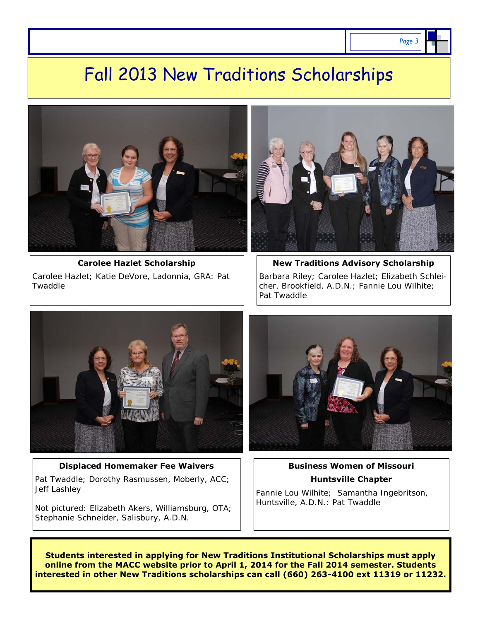# Fall 2013 New Traditions Scholarships





#### **Displaced Homemaker Fee Waivers**  Pat Twaddle; Dorothy Rasmussen, Moberly, ACC; Jeff Lashley

Not pictured: Elizabeth Akers, Williamsburg, OTA; Stephanie Schneider, Salisbury, A.D.N.



#### **Business Women of Missouri Huntsville Chapter**

Fannie Lou Wilhite; Samantha Ingebritson, Huntsville, A.D.N.: Pat Twaddle

**Students interested in applying for New Traditions Institutional Scholarships must apply online from the MACC website prior to April 1, 2014 for the Fall 2014 semester. Students interested in other New Traditions scholarships can call (660) 263-4100 ext 11319 or 11232.**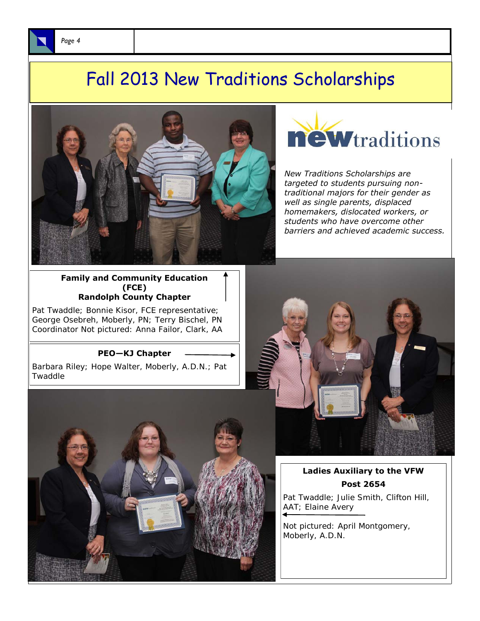





*New Traditions Scholarships are targeted to students pursuing nontraditional majors for their gender as well as single parents, displaced homemakers, dislocated workers, or students who have overcome other barriers and achieved academic success.* 

**Family and Community Education (FCE) Randolph County Chapter** 

Pat Twaddle; Bonnie Kisor, FCE representative; George Osebreh, Moberly, PN; Terry Bischel, PN Coordinator Not pictured: Anna Failor, Clark, AA

#### **PEO—KJ Chapter**

Barbara Riley; Hope Walter, Moberly, A.D.N.; Pat Twaddle





#### **Ladies Auxiliary to the VFW Post 2654**

Pat Twaddle; Julie Smith, Clifton Hill, AAT; Elaine Avery

Not pictured: April Montgomery, Moberly, A.D.N.

*Page 4*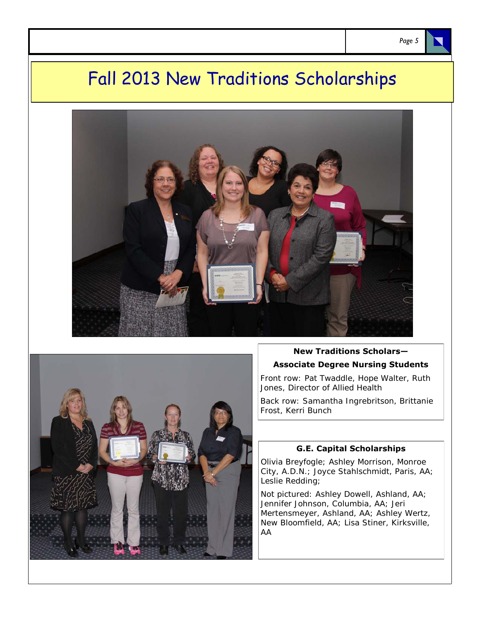# Fall 2013 New Traditions Scholarships





## **New Traditions Scholars— Associate Degree Nursing Students**

Front row: Pat Twaddle, Hope Walter, Ruth Jones, Director of Allied Health

Back row: Samantha Ingrebritson, Brittanie Frost, Kerri Bunch

#### **G.E. Capital Scholarships**

Olivia Breyfogle; Ashley Morrison, Monroe City, A.D.N.; Joyce Stahlschmidt, Paris, AA; Leslie Redding;

Not pictured: Ashley Dowell, Ashland, AA; Jennifer Johnson, Columbia, AA; Jeri Mertensmeyer, Ashland, AA; Ashley Wertz, New Bloomfield, AA; Lisa Stiner, Kirksville, AA

*Page 5*